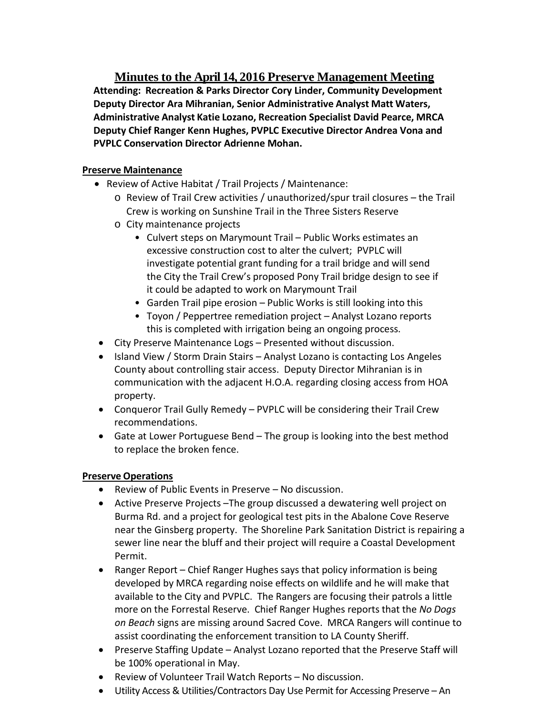**Minutes to the April 14, 2016 Preserve Management Meeting Attending: Recreation & Parks Director Cory Linder, Community Development Deputy Director Ara Mihranian, Senior Administrative Analyst Matt Waters, Administrative Analyst Katie Lozano, Recreation Specialist David Pearce, MRCA Deputy Chief Ranger Kenn Hughes, PVPLC Executive Director Andrea Vona and PVPLC Conservation Director Adrienne Mohan.**

# **Preserve Maintenance**

- Review of Active Habitat / Trail Projects / Maintenance:
	- o Review of Trail Crew activities / unauthorized/spur trail closures the Trail Crew is working on Sunshine Trail in the Three Sisters Reserve
	- o City maintenance projects
		- Culvert steps on Marymount Trail Public Works estimates an excessive construction cost to alter the culvert; PVPLC will investigate potential grant funding for a trail bridge and will send the City the Trail Crew's proposed Pony Trail bridge design to see if it could be adapted to work on Marymount Trail
		- Garden Trail pipe erosion Public Works is still looking into this
		- Toyon / Peppertree remediation project Analyst Lozano reports this is completed with irrigation being an ongoing process.
- City Preserve Maintenance Logs Presented without discussion.
- Island View / Storm Drain Stairs Analyst Lozano is contacting Los Angeles County about controlling stair access. Deputy Director Mihranian is in communication with the adjacent H.O.A. regarding closing access from HOA property.
- Conqueror Trail Gully Remedy PVPLC will be considering their Trail Crew recommendations.
- Gate at Lower Portuguese Bend The group is looking into the best method to replace the broken fence.

# **Preserve Operations**

- Review of Public Events in Preserve No discussion.
- Active Preserve Projects –The group discussed a dewatering well project on Burma Rd. and a project for geological test pits in the Abalone Cove Reserve near the Ginsberg property. The Shoreline Park Sanitation District is repairing a sewer line near the bluff and their project will require a Coastal Development Permit.
- Ranger Report Chief Ranger Hughes says that policy information is being developed by MRCA regarding noise effects on wildlife and he will make that available to the City and PVPLC. The Rangers are focusing their patrols a little more on the Forrestal Reserve. Chief Ranger Hughes reports that the *No Dogs on Beach* signs are missing around Sacred Cove. MRCA Rangers will continue to assist coordinating the enforcement transition to LA County Sheriff.
- Preserve Staffing Update Analyst Lozano reported that the Preserve Staff will be 100% operational in May.
- Review of Volunteer Trail Watch Reports No discussion.
- Utility Access & Utilities/Contractors Day Use Permit for Accessing Preserve An